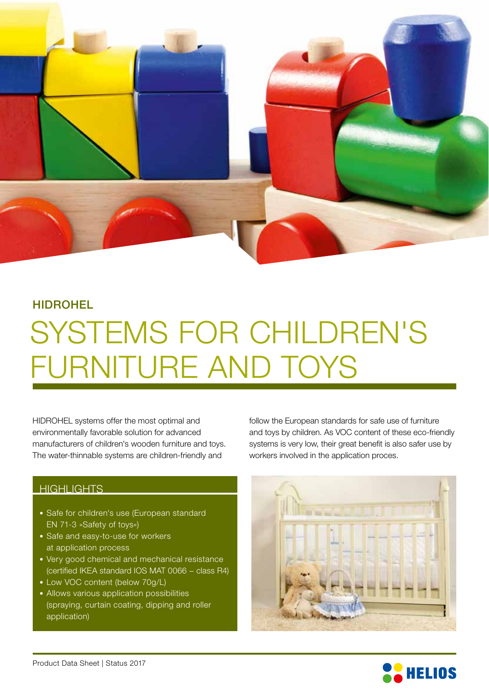

### HIDROHEL

# SYSTEMS FOR CHILDREN'S FURNITURE AND TOYS

HIDROHEL systems offer the most optimal and environmentally favorable solution for advanced manufacturers of children's wooden furniture and toys. The water-thinnable systems are children-friendly and

### **HIGHLIGHTS**

- Safe for children's use (European standard EN 71-3 »Safety of toys«)
- Safe and easy-to-use for workers at application process
- Very good chemical and mechanical resistance (certified IKEA standard IOS MAT 0066 − class R4)
- Low VOC content (below 70g/L)
- Allows various application possibilities (spraying, curtain coating, dipping and roller application)

follow the European standards for safe use of furniture and toys by children. As VOC content of these eco-friendly systems is very low, their great benefit is also safer use by workers involved in the application proces.